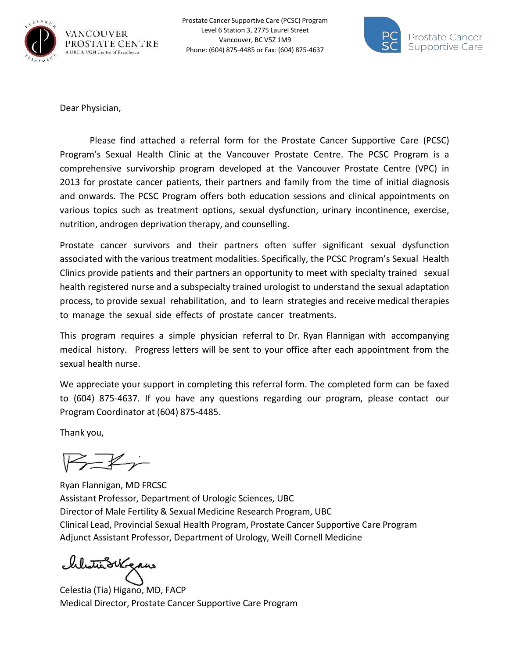



Dear Physician,

Please find attached a referral form for the Prostate Cancer Supportive Care (PCSC) Program's Sexual Health Clinic at the Vancouver Prostate Centre. The PCSC Program is a comprehensive survivorship program developed at the Vancouver Prostate Centre (VPC) in 2013 for prostate cancer patients, their partners and family from the time of initial diagnosis and onwards. The PCSC Program offers both education sessions and clinical appointments on various topics such as treatment options, sexual dysfunction, urinary incontinence, exercise, nutrition, androgen deprivation therapy, and counselling.

Prostate cancer survivors and their partners often suffer significant sexual dysfunction associated with the various treatment modalities. Specifically, the PCSC Program's Sexual Health Clinics provide patients and their partners an opportunity to meet with specialty trained sexual health registered nurse and a subspecialty trained urologist to understand the sexual adaptation process, to provide sexual rehabilitation, and to learn strategies and receive medical therapies to manage the sexual side effects of prostate cancer treatments.

This program requires a simple physician referral to Dr. Ryan Flannigan with accompanying medical history. Progress letters will be sent to your office after each appointment from the sexual health nurse.

We appreciate your support in completing this referral form. The completed form can be faxed to (604) 875-4637. If you have any questions regarding our program, please contact our Program Coordinator at (604) 875-4485.

Thank you,

 $\overline{\mathbb{R}}$ 

Ryan Flannigan, MD FRCSC Assistant Professor, Department of Urologic Sciences, UBC Director of Male Fertility & Sexual Medicine Research Program, UBC Clinical Lead, Provincial Sexual Health Program, Prostate Cancer Supportive Care Program Adjunct Assistant Professor, Department of Urology, Weill Cornell Medicine

Westie Skrgaus

Celestia (Tia) Higano, MD, FACP Medical Director, Prostate Cancer Supportive Care Program